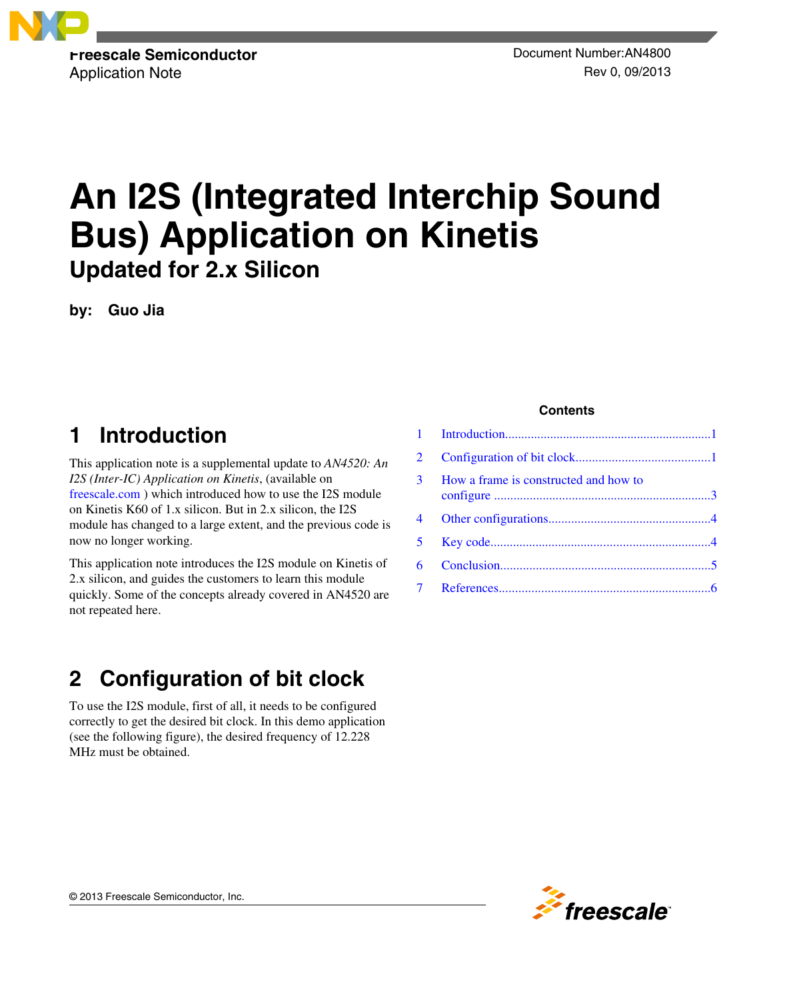

# **An I2S (Integrated Interchip Sound Bus) Application on Kinetis Updated for 2.x Silicon**

**by: Guo Jia**

# **1 Introduction**

This application note is a supplemental update to *AN4520: An I2S (Inter-IC) Application on Kinetis*, (available on [freescale.com](http://www.freescale.com) ) which introduced how to use the I2S module on Kinetis K60 of 1.x silicon. But in 2.x silicon, the I2S module has changed to a large extent, and the previous code is now no longer working.

This application note introduces the I2S module on Kinetis of 2.x silicon, and guides the customers to learn this module quickly. Some of the concepts already covered in AN4520 are not repeated here.

# **2 Configuration of bit clock**

To use the I2S module, first of all, it needs to be configured correctly to get the desired bit clock. In this demo application (see the following figure), the desired frequency of 12.228 MHz must be obtained.

#### **Contents**

| $\overline{2}$ |                                         |  |
|----------------|-----------------------------------------|--|
|                | 3 How a frame is constructed and how to |  |
|                |                                         |  |
|                |                                         |  |
| 6              |                                         |  |
|                |                                         |  |
|                |                                         |  |

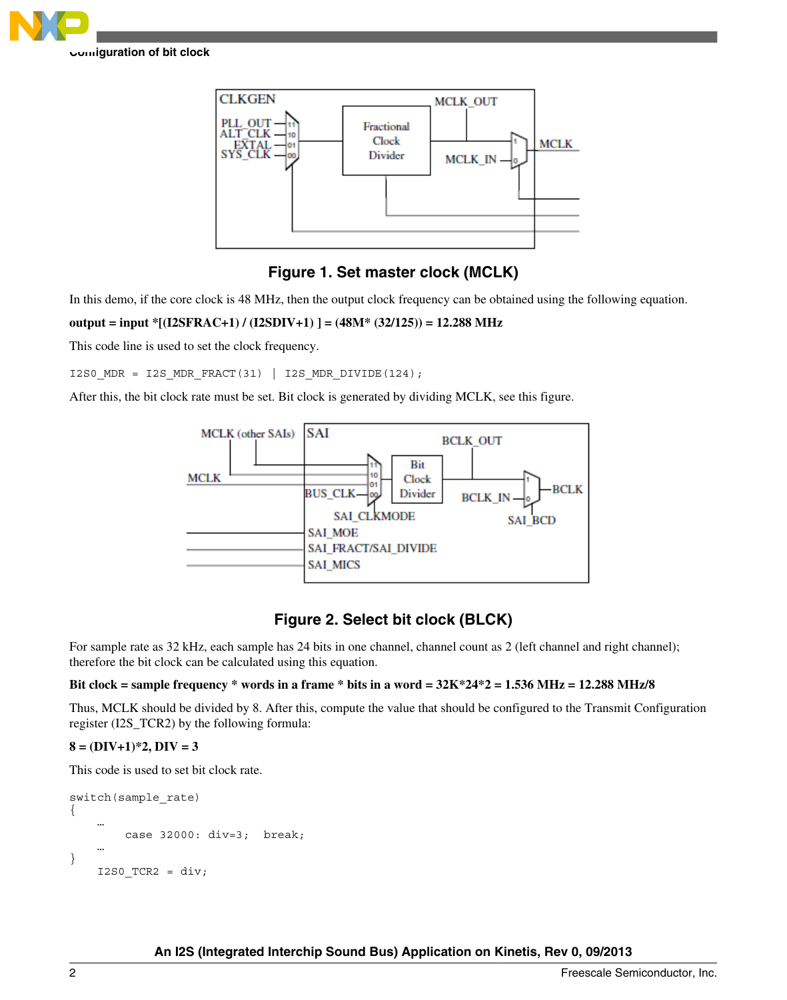



### **Figure 1. Set master clock (MCLK)**

In this demo, if the core clock is 48 MHz, then the output clock frequency can be obtained using the following equation.

#### **output = input \*[(I2SFRAC+1) / (I2SDIV+1) ] = (48M\* (32/125)) = 12.288 MHz**

This code line is used to set the clock frequency.

I2S0\_MDR = I2S\_MDR\_FRACT(31) | I2S\_MDR\_DIVIDE(124);

After this, the bit clock rate must be set. Bit clock is generated by dividing MCLK, see this figure.



### **Figure 2. Select bit clock (BLCK)**

For sample rate as 32 kHz, each sample has 24 bits in one channel, channel count as 2 (left channel and right channel); therefore the bit clock can be calculated using this equation.

#### **Bit clock = sample frequency \* words in a frame \* bits in a word = 32K\*24\*2 = 1.536 MHz = 12.288 MHz/8**

Thus, MCLK should be divided by 8. After this, compute the value that should be configured to the Transmit Configuration register (I2S\_TCR2) by the following formula:

#### **8 = (DIV+1)\*2, DIV = 3**

This code is used to set bit clock rate.

```
switch(sample_rate)
{
 …
         case 32000: div=3; break;
 …
}
    I2S0 TCR2 = div;
```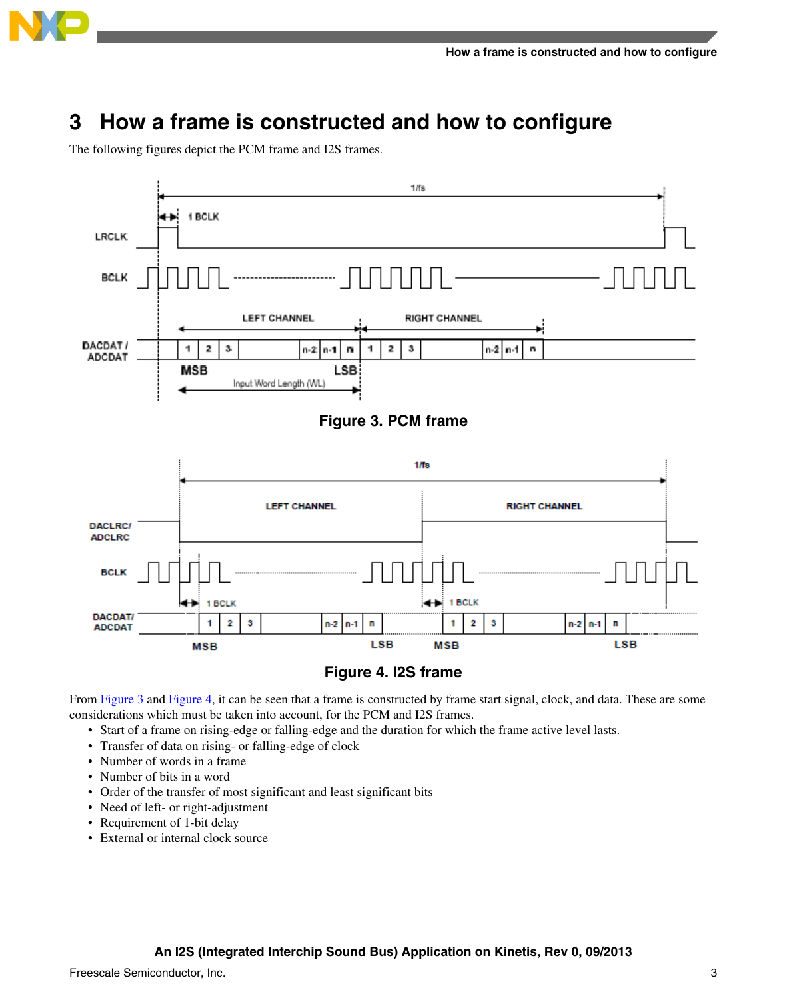<span id="page-2-0"></span>

### **3 How a frame is constructed and how to configure**

The following figures depict the PCM frame and I2S frames.



### **Figure 4. I2S frame**

From Figure 3 and Figure 4, it can be seen that a frame is constructed by frame start signal, clock, and data. These are some considerations which must be taken into account, for the PCM and I2S frames.

- Start of a frame on rising-edge or falling-edge and the duration for which the frame active level lasts.
- Transfer of data on rising- or falling-edge of clock
- Number of words in a frame
- Number of bits in a word
- Order of the transfer of most significant and least significant bits
- Need of left- or right-adjustment
- Requirement of 1-bit delay
- External or internal clock source

#### **An I2S (Integrated Interchip Sound Bus) Application on Kinetis, Rev 0, 09/2013**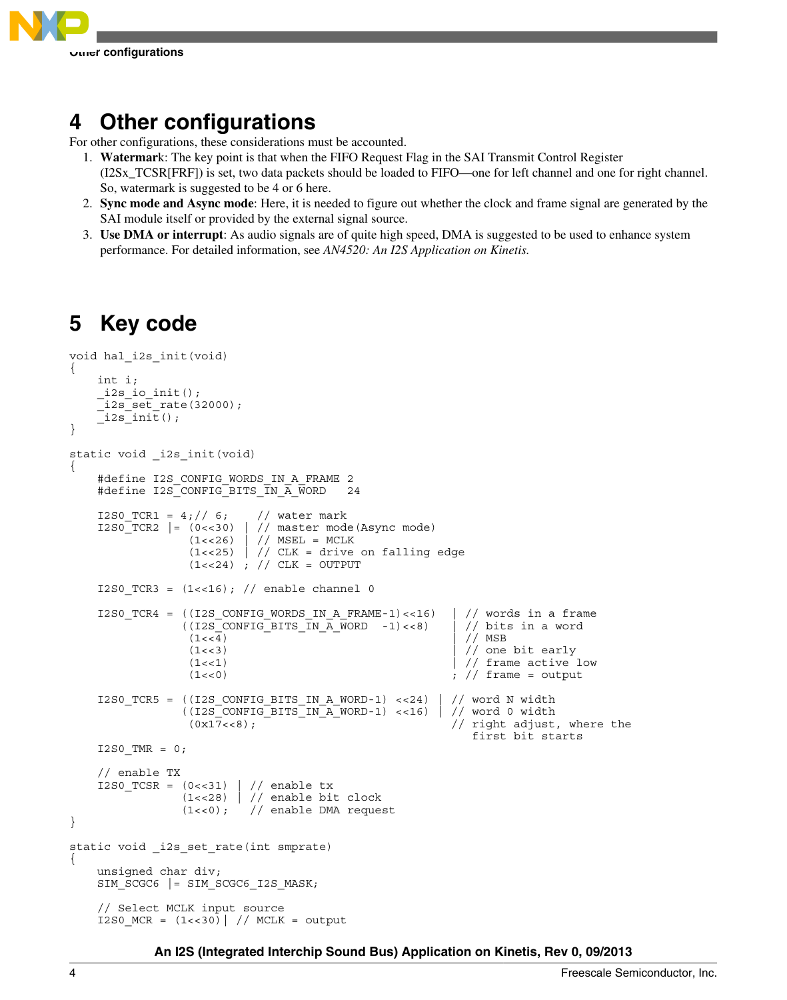<span id="page-3-0"></span>

## **4 Other configurations**

For other configurations, these considerations must be accounted.

- 1. **Watermar**k: The key point is that when the FIFO Request Flag in the SAI Transmit Control Register (I2Sx\_TCSR[FRF]) is set, two data packets should be loaded to FIFO—one for left channel and one for right channel. So, watermark is suggested to be 4 or 6 here.
- 2. **Sync mode and Async mode**: Here, it is needed to figure out whether the clock and frame signal are generated by the SAI module itself or provided by the external signal source.
- 3. **Use DMA or interrupt**: As audio signals are of quite high speed, DMA is suggested to be used to enhance system performance. For detailed information, see *AN4520: An I2S Application on Kinetis.*

# **5 Key code**

```
void hal_i2s_init(void)
{ 
      int i;
     _i2s\_io\_init();
       _i2s_set_rate(32000);
     \overline{\phantom{a}} i2s \overline{\phantom{a}} init();
}
static void _i2s_init(void)
{
     #define I2S CONFIG WORDS IN A FRAME 2
      #define I2S_CONFIG_BITS_IN_A_WORD 24
     I2SO_TCR1 = 4; // 6; // water markI2S0 TCR2 | = (0 \lt 30) | // master mode(Async mode)
                       (1<<26) | // MSEL = MCLK
                       (1<<25) | // CLK = drive on falling edge
                       (1<<24) ; // CLK = OUTPUT
     I2SO_TCR3 = (1<<16); // enable channel 0
     I2S0 TCR4 = ((I2S CONFIG WORDS IN A FRAME-1) <<16) | // words in a frame
                      ( (I2S_CONFIG_BITS_N_A_WORD -1) \lt 8) | // bits in a word<br>(1 \lt 4) | // MSB
(1 < 4) | // MSB
                       (1\leftarrow 3) \left| \frac{1}{\left| \frac{1}{2}\right|} \right| one bit early
                       (1\lt1) \qquad \qquad \qquad \qquad \qquad \qquad \qquad \qquad \qquad \qquad \qquad \qquad \qquad \qquad \qquad \qquad \qquad \qquad \qquad \qquad \qquad \qquad \qquad \qquad \qquad \qquad \qquad \qquad \qquad \qquad \qquad \qquad \qquad \qquad \qquad \(1\ll 0) ; \left/ \right/ frame = output
     I2S0 TCR5 = ((I2S CONFIG BITS IN A WORD-1) <<24) | // word N width
                      ((12S\overline{\rule[0.65em]{0.9em}{0.8em}}CONFIG\overline{\rule[0.65em]{0.9em}{0.8em}}BITS\overline{\rule[0.65em]{0.9em}{0.8em}}IN\overline{\rule[0.65em]{0.9em}{0.8em}}NORD-1) <<16) | // word 0 width (0x17<<8); // right adjust
                                                                           // right adjust, where the
                                                                                first bit starts 
     I2S0 TMR = 0; // enable TX
     I2S0 TCSR = (0<<31) | // enable tx
                       (1<<28) | // enable bit clock
                      (1<<0); // enable DMA request
}
static void _i2s_set_rate(int smprate)
{
      unsigned char div;
     SIM_SCGC6 |= SIM_SCGC6_I2S_MASK;
      // Select MCLK input source
     I2S0 MCR = (1\leftarrow30) // MCLK = output
```
**An I2S (Integrated Interchip Sound Bus) Application on Kinetis, Rev 0, 09/2013**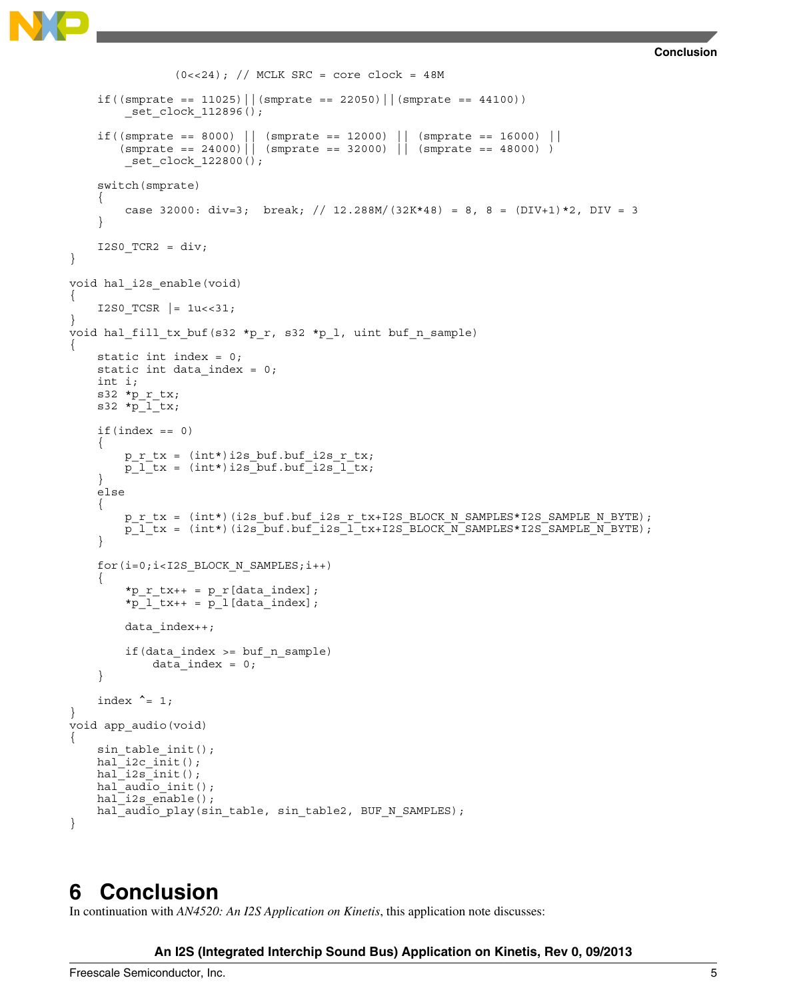```
Conclusion
```

```
(0 < 24); // MCLK SRC = core clock = 48M
    if((smprate == 11025)||(smprate == 22050)||(smprate == 44100))
         _set_clock_112896();
    if((smprate == 8000) || (smprate == 12000) || (smprate == 16000) ||
        (smprate == 24000)|| (smprate == 32000) || (smprate == 48000) )
        set clock 122800();
     switch(smprate)
     {
        case 32000: div=3; break; // 12.288M/(32K*48) = 8, 8 = (DIV+1)*2, DIV = 3
     }
    I2S0 TCR2 = div;
}
void hal_i2s_enable(void)
{
    I2S0 TCSR |= 1u<<31;
}
void hal_fill_tx_buf(s32 *p_r, s32 *p_l, uint buf_n_sample)
{
     static int index = 0;
    static int data index = 0;
     int i;
    s32 * p_rtx;s32 *pi l tx;
    if(intex == 0) {
        p r tx = (int*)i2s buf.buf i2s r tx;
        p^{-1} tx = (int*)i2s buf.buf i2s 1^{-}tx;
     }
     else
    \left\{ \right.p_r_tx = (int*)(i2s_buf.buf_i2s_r_tx+I2S_BLOCK_N_SAMPLES*I2S_SAMPLE_N_BYTE);
        p l tx = (int*)(i2s buf.buf i2s l tx+I2S BLOCK N SAMPLES*I2S SAMPLE N BYTE);
     }
     for(i=0;i<I2S_BLOCK_N_SAMPLES;i++)
     {
        *p_r_tx_{++} = p_r[data_index];*p l tx++ = p l [data index];
         data_index++;
         if(data_index >= buf_n_sample)
            data index = 0;
     }
    index ^{\wedge} = 1;
}
void app_audio(void)
{
    sin table init();
    hal i2c init();
    hal[i2s_init();
 hal_audio_init();
hal_i2s_enable();
     hal_audio_play(sin_table, sin_table2, BUF_N_SAMPLES);
}
```
### **6 Conclusion**

In continuation with *AN4520: An I2S Application on Kinetis*, this application note discusses:

#### **An I2S (Integrated Interchip Sound Bus) Application on Kinetis, Rev 0, 09/2013**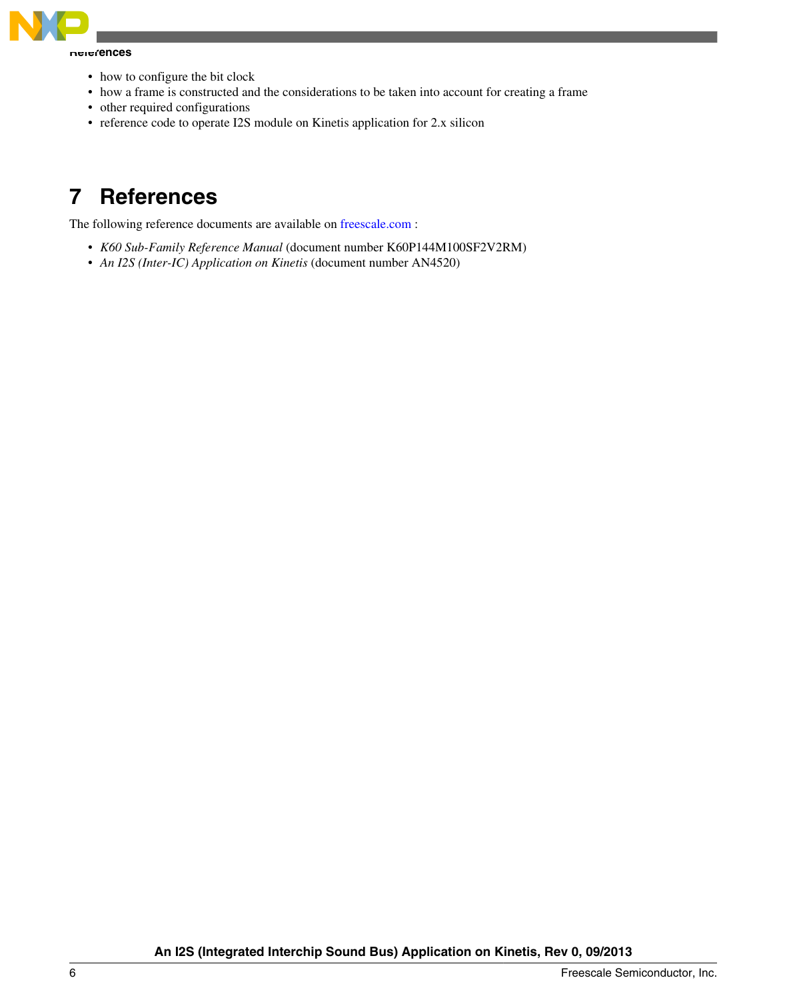<span id="page-5-0"></span>

**References**

- how to configure the bit clock
- how a frame is constructed and the considerations to be taken into account for creating a frame
- other required configurations
- reference code to operate I2S module on Kinetis application for 2.x silicon

### **7 References**

The following reference documents are available on [freescale.com](http://www.freescale.com) :

- *K60 Sub-Family Reference Manual* (document number K60P144M100SF2V2RM)
- *An I2S (Inter-IC) Application on Kinetis* (document number AN4520)